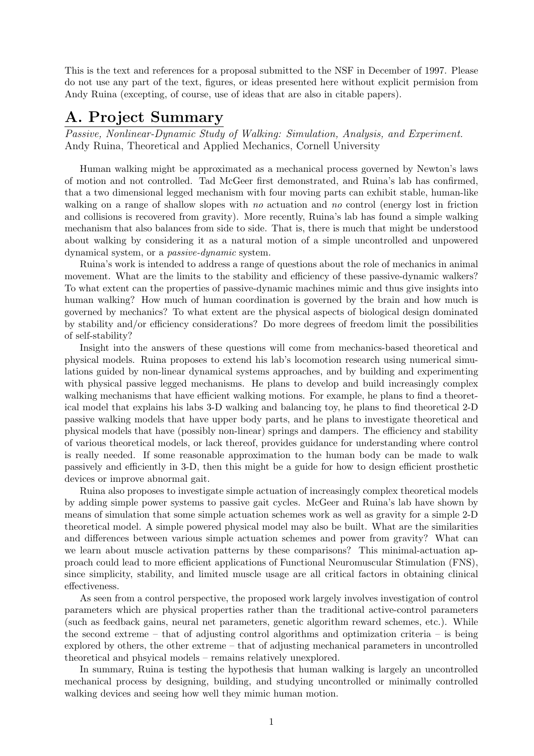This is the text and references for a proposal submitted to the NSF in December of 1997. Please do not use any part of the text, figures, or ideas presented here without explicit permision from Andy Ruina (excepting, of course, use of ideas that are also in citable papers).

# **A. Project Summary**

Passive, Nonlinear-Dynamic Study of Walking: Simulation, Analysis, and Experiment. Andy Ruina, Theoretical and Applied Mechanics, Cornell University

Human walking might be approximated as a mechanical process governed by Newton's laws of motion and not controlled. Tad McGeer first demonstrated, and Ruina's lab has confirmed, that a two dimensional legged mechanism with four moving parts can exhibit stable, human-like walking on a range of shallow slopes with no actuation and no control (energy lost in friction and collisions is recovered from gravity). More recently, Ruina's lab has found a simple walking mechanism that also balances from side to side. That is, there is much that might be understood about walking by considering it as a natural motion of a simple uncontrolled and unpowered dynamical system, or a passive-dynamic system.

Ruina's work is intended to address a range of questions about the role of mechanics in animal movement. What are the limits to the stability and efficiency of these passive-dynamic walkers? To what extent can the properties of passive-dynamic machines mimic and thus give insights into human walking? How much of human coordination is governed by the brain and how much is governed by mechanics? To what extent are the physical aspects of biological design dominated by stability and/or efficiency considerations? Do more degrees of freedom limit the possibilities of self-stability?

Insight into the answers of these questions will come from mechanics-based theoretical and physical models. Ruina proposes to extend his lab's locomotion research using numerical simulations guided by non-linear dynamical systems approaches, and by building and experimenting with physical passive legged mechanisms. He plans to develop and build increasingly complex walking mechanisms that have efficient walking motions. For example, he plans to find a theoretical model that explains his labs 3-D walking and balancing toy, he plans to find theoretical 2-D passive walking models that have upper body parts, and he plans to investigate theoretical and physical models that have (possibly non-linear) springs and dampers. The efficiency and stability of various theoretical models, or lack thereof, provides guidance for understanding where control is really needed. If some reasonable approximation to the human body can be made to walk passively and efficiently in 3-D, then this might be a guide for how to design efficient prosthetic devices or improve abnormal gait.

Ruina also proposes to investigate simple actuation of increasingly complex theoretical models by adding simple power systems to passive gait cycles. McGeer and Ruina's lab have shown by means of simulation that some simple actuation schemes work as well as gravity for a simple 2-D theoretical model. A simple powered physical model may also be built. What are the similarities and differences between various simple actuation schemes and power from gravity? What can we learn about muscle activation patterns by these comparisons? This minimal-actuation approach could lead to more efficient applications of Functional Neuromuscular Stimulation (FNS), since simplicity, stability, and limited muscle usage are all critical factors in obtaining clinical effectiveness.

As seen from a control perspective, the proposed work largely involves investigation of control parameters which are physical properties rather than the traditional active-control parameters (such as feedback gains, neural net parameters, genetic algorithm reward schemes, etc.). While the second extreme – that of adjusting control algorithms and optimization criteria – is being explored by others, the other extreme – that of adjusting mechanical parameters in uncontrolled theoretical and phsyical models – remains relatively unexplored.

In summary, Ruina is testing the hypothesis that human walking is largely an uncontrolled mechanical process by designing, building, and studying uncontrolled or minimally controlled walking devices and seeing how well they mimic human motion.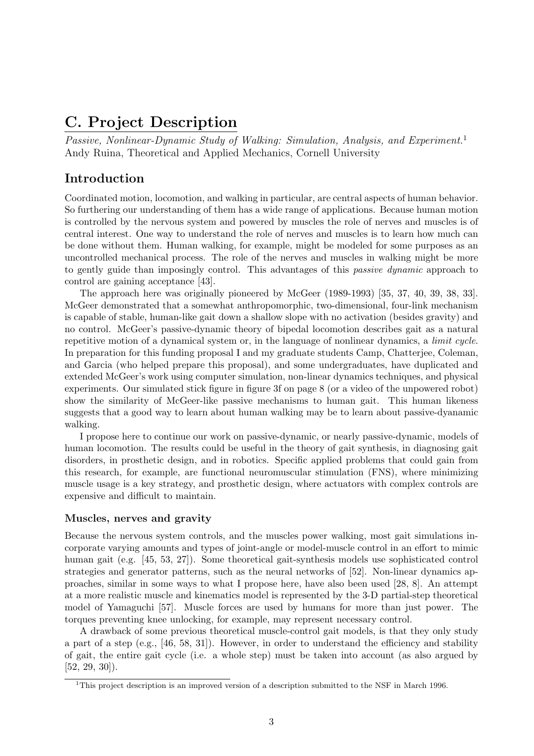# **C. Project Description**

Passive, Nonlinear-Dynamic Study of Walking: Simulation, Analysis, and Experiment.<sup>1</sup> Andy Ruina, Theoretical and Applied Mechanics, Cornell University

# **Introduction**

Coordinated motion, locomotion, and walking in particular, are central aspects of human behavior. So furthering our understanding of them has a wide range of applications. Because human motion is controlled by the nervous system and powered by muscles the role of nerves and muscles is of central interest. One way to understand the role of nerves and muscles is to learn how much can be done without them. Human walking, for example, might be modeled for some purposes as an uncontrolled mechanical process. The role of the nerves and muscles in walking might be more to gently guide than imposingly control. This advantages of this passive dynamic approach to control are gaining acceptance [43].

The approach here was originally pioneered by McGeer (1989-1993) [35, 37, 40, 39, 38, 33]. McGeer demonstrated that a somewhat anthropomorphic, two-dimensional, four-link mechanism is capable of stable, human-like gait down a shallow slope with no activation (besides gravity) and no control. McGeer's passive-dynamic theory of bipedal locomotion describes gait as a natural repetitive motion of a dynamical system or, in the language of nonlinear dynamics, a limit cycle. In preparation for this funding proposal I and my graduate students Camp, Chatterjee, Coleman, and Garcia (who helped prepare this proposal), and some undergraduates, have duplicated and extended McGeer's work using computer simulation, non-linear dynamics techniques, and physical experiments. Our simulated stick figure in figure 3f on page 8 (or a video of the unpowered robot) show the similarity of McGeer-like passive mechanisms to human gait. This human likeness suggests that a good way to learn about human walking may be to learn about passive-dyanamic walking.

I propose here to continue our work on passive-dynamic, or nearly passive-dynamic, models of human locomotion. The results could be useful in the theory of gait synthesis, in diagnosing gait disorders, in prosthetic design, and in robotics. Specific applied problems that could gain from this research, for example, are functional neuromuscular stimulation (FNS), where minimizing muscle usage is a key strategy, and prosthetic design, where actuators with complex controls are expensive and difficult to maintain.

## **Muscles, nerves and gravity**

Because the nervous system controls, and the muscles power walking, most gait simulations incorporate varying amounts and types of joint-angle or model-muscle control in an effort to mimic human gait (e.g. [45, 53, 27]). Some theoretical gait-synthesis models use sophisticated control strategies and generator patterns, such as the neural networks of [52]. Non-linear dynamics approaches, similar in some ways to what I propose here, have also been used [28, 8]. An attempt at a more realistic muscle and kinematics model is represented by the 3-D partial-step theoretical model of Yamaguchi [57]. Muscle forces are used by humans for more than just power. The torques preventing knee unlocking, for example, may represent necessary control.

A drawback of some previous theoretical muscle-control gait models, is that they only study a part of a step (e.g., [46, 58, 31]). However, in order to understand the efficiency and stability of gait, the entire gait cycle (i.e. a whole step) must be taken into account (as also argued by  $[52, 29, 30]$ .

<sup>1</sup>This project description is an improved version of a description submitted to the NSF in March 1996.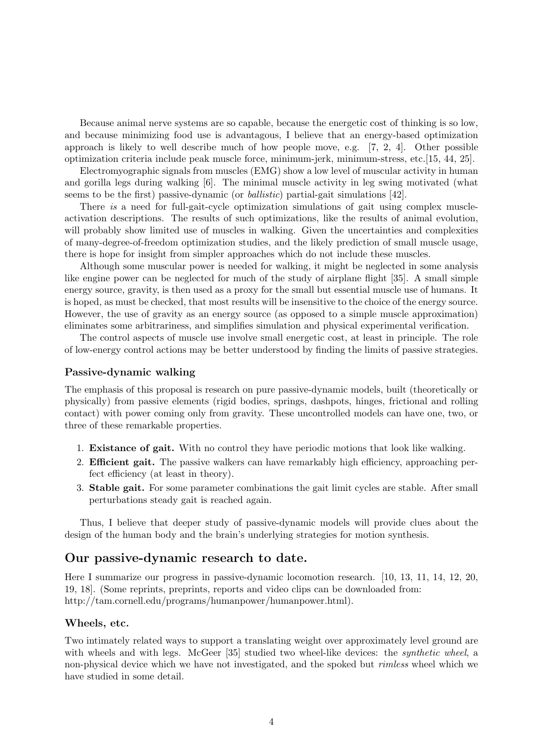Because animal nerve systems are so capable, because the energetic cost of thinking is so low, and because minimizing food use is advantagous, I believe that an energy-based optimization approach is likely to well describe much of how people move, e.g. [7, 2, 4]. Other possible optimization criteria include peak muscle force, minimum-jerk, minimum-stress, etc.[15, 44, 25].

Electromyographic signals from muscles (EMG) show a low level of muscular activity in human and gorilla legs during walking [6]. The minimal muscle activity in leg swing motivated (what seems to be the first) passive-dynamic (or ballistic) partial-gait simulations [42].

There is a need for full-gait-cycle optimization simulations of gait using complex muscleactivation descriptions. The results of such optimizations, like the results of animal evolution, will probably show limited use of muscles in walking. Given the uncertainties and complexities of many-degree-of-freedom optimization studies, and the likely prediction of small muscle usage, there is hope for insight from simpler approaches which do not include these muscles.

Although some muscular power is needed for walking, it might be neglected in some analysis like engine power can be neglected for much of the study of airplane flight [35]. A small simple energy source, gravity, is then used as a proxy for the small but essential muscle use of humans. It is hoped, as must be checked, that most results will be insensitive to the choice of the energy source. However, the use of gravity as an energy source (as opposed to a simple muscle approximation) eliminates some arbitrariness, and simplifies simulation and physical experimental verification.

The control aspects of muscle use involve small energetic cost, at least in principle. The role of low-energy control actions may be better understood by finding the limits of passive strategies.

### **Passive-dynamic walking**

The emphasis of this proposal is research on pure passive-dynamic models, built (theoretically or physically) from passive elements (rigid bodies, springs, dashpots, hinges, frictional and rolling contact) with power coming only from gravity. These uncontrolled models can have one, two, or three of these remarkable properties.

- 1. **Existance of gait.** With no control they have periodic motions that look like walking.
- 2. **Efficient gait.** The passive walkers can have remarkably high efficiency, approaching perfect efficiency (at least in theory).
- 3. **Stable gait.** For some parameter combinations the gait limit cycles are stable. After small perturbations steady gait is reached again.

Thus, I believe that deeper study of passive-dynamic models will provide clues about the design of the human body and the brain's underlying strategies for motion synthesis.

## **Our passive-dynamic research to date.**

Here I summarize our progress in passive-dynamic locomotion research. [10, 13, 11, 14, 12, 20, 19, 18]. (Some reprints, preprints, reports and video clips can be downloaded from: http://tam.cornell.edu/programs/humanpower/humanpower.html).

### **Wheels, etc.**

Two intimately related ways to support a translating weight over approximately level ground are with wheels and with legs. McGeer [35] studied two wheel-like devices: the *synthetic wheel*, a non-physical device which we have not investigated, and the spoked but rimless wheel which we have studied in some detail.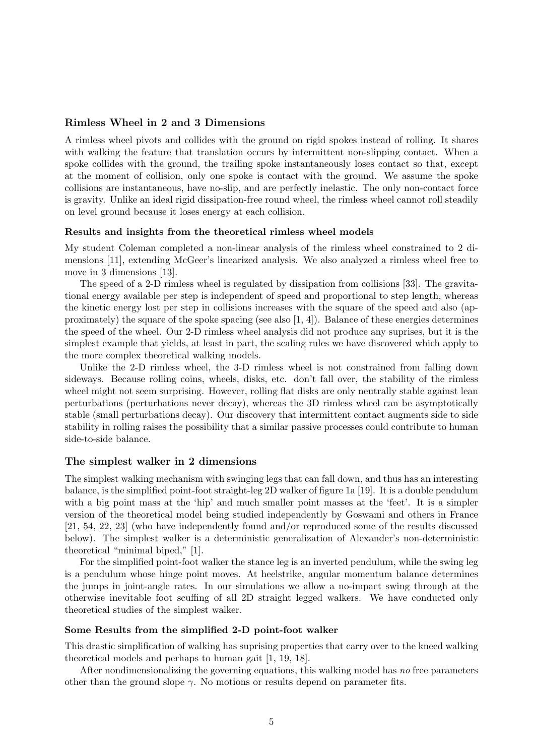#### **Rimless Wheel in 2 and 3 Dimensions**

A rimless wheel pivots and collides with the ground on rigid spokes instead of rolling. It shares with walking the feature that translation occurs by intermittent non-slipping contact. When a spoke collides with the ground, the trailing spoke instantaneously loses contact so that, except at the moment of collision, only one spoke is contact with the ground. We assume the spoke collisions are instantaneous, have no-slip, and are perfectly inelastic. The only non-contact force is gravity. Unlike an ideal rigid dissipation-free round wheel, the rimless wheel cannot roll steadily on level ground because it loses energy at each collision.

#### **Results and insights from the theoretical rimless wheel models**

My student Coleman completed a non-linear analysis of the rimless wheel constrained to 2 dimensions [11], extending McGeer's linearized analysis. We also analyzed a rimless wheel free to move in 3 dimensions [13].

The speed of a 2-D rimless wheel is regulated by dissipation from collisions [33]. The gravitational energy available per step is independent of speed and proportional to step length, whereas the kinetic energy lost per step in collisions increases with the square of the speed and also (approximately) the square of the spoke spacing (see also  $(1, 4)$ ). Balance of these energies determines the speed of the wheel. Our 2-D rimless wheel analysis did not produce any suprises, but it is the simplest example that yields, at least in part, the scaling rules we have discovered which apply to the more complex theoretical walking models.

Unlike the 2-D rimless wheel, the 3-D rimless wheel is not constrained from falling down sideways. Because rolling coins, wheels, disks, etc. don't fall over, the stability of the rimless wheel might not seem surprising. However, rolling flat disks are only neutrally stable against lean perturbations (perturbations never decay), whereas the 3D rimless wheel can be asymptotically stable (small perturbations decay). Our discovery that intermittent contact augments side to side stability in rolling raises the possibility that a similar passive processes could contribute to human side-to-side balance.

#### **The simplest walker in 2 dimensions**

The simplest walking mechanism with swinging legs that can fall down, and thus has an interesting balance, is the simplified point-foot straight-leg 2D walker of figure 1a [19]. It is a double pendulum with a big point mass at the 'hip' and much smaller point masses at the 'feet'. It is a simpler version of the theoretical model being studied independently by Goswami and others in France [21, 54, 22, 23] (who have independently found and/or reproduced some of the results discussed below). The simplest walker is a deterministic generalization of Alexander's non-deterministic theoretical "minimal biped," [1].

For the simplified point-foot walker the stance leg is an inverted pendulum, while the swing leg is a pendulum whose hinge point moves. At heelstrike, angular momentum balance determines the jumps in joint-angle rates. In our simulations we allow a no-impact swing through at the otherwise inevitable foot scuffing of all 2D straight legged walkers. We have conducted only theoretical studies of the simplest walker.

#### **Some Results from the simplified 2-D point-foot walker**

This drastic simplification of walking has suprising properties that carry over to the kneed walking theoretical models and perhaps to human gait [1, 19, 18].

After nondimensionalizing the governing equations, this walking model has no free parameters other than the ground slope  $\gamma$ . No motions or results depend on parameter fits.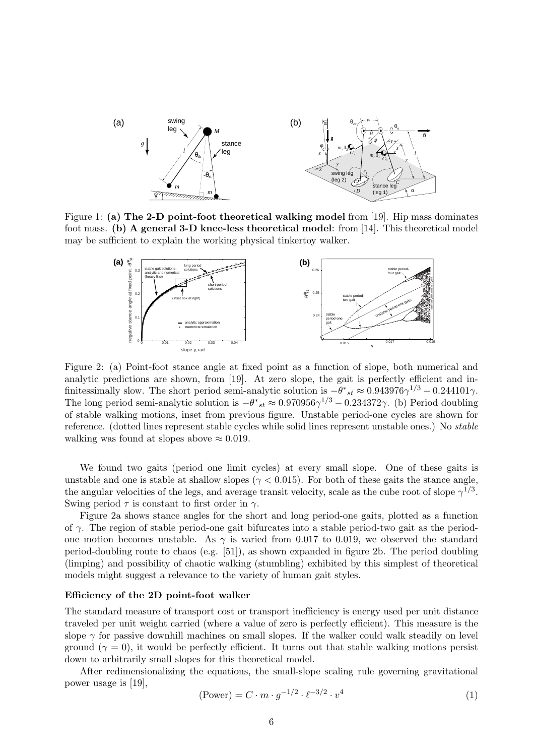

Figure 1: **(a) The 2-D point-foot theoretical walking model** from [19]. Hip mass dominates foot mass. **(b) A general 3-D knee-less theoretical model**: from [14]. This theoretical model may be sufficient to explain the working physical tinkertoy walker.



Figure 2: (a) Point-foot stance angle at fixed point as a function of slope, both numerical and analytic predictions are shown, from [19]. At zero slope, the gait is perfectly efficient and infinitessimally slow. The short period semi-analytic solution is  $-\theta^*{}_{st} \approx 0.943976\gamma^{1/3} - 0.244101\gamma$ . The long period semi-analytic solution is  $-\theta^*{}_{st} \approx 0.970956\gamma^{1/3} - 0.234372\gamma$ . (b) Period doubling of stable walking motions, inset from previous figure. Unstable period-one cycles are shown for reference. (dotted lines represent stable cycles while solid lines represent unstable ones.) No stable walking was found at slopes above  $\approx 0.019$ .

We found two gaits (period one limit cycles) at every small slope. One of these gaits is unstable and one is stable at shallow slopes ( $\gamma$  < 0.015). For both of these gaits the stance angle, the angular velocities of the legs, and average transit velocity, scale as the cube root of slope  $\gamma^{1/3}$ . Swing period  $\tau$  is constant to first order in  $\gamma$ .

Figure 2a shows stance angles for the short and long period-one gaits, plotted as a function of *γ*. The region of stable period-one gait bifurcates into a stable period-two gait as the periodone motion becomes unstable. As  $\gamma$  is varied from 0.017 to 0.019, we observed the standard period-doubling route to chaos (e.g. [51]), as shown expanded in figure 2b. The period doubling (limping) and possibility of chaotic walking (stumbling) exhibited by this simplest of theoretical models might suggest a relevance to the variety of human gait styles.

#### **Efficiency of the 2D point-foot walker**

The standard measure of transport cost or transport inefficiency is energy used per unit distance traveled per unit weight carried (where a value of zero is perfectly efficient). This measure is the slope  $\gamma$  for passive downhill machines on small slopes. If the walker could walk steadily on level ground  $(\gamma = 0)$ , it would be perfectly efficient. It turns out that stable walking motions persist down to arbitrarily small slopes for this theoretical model.

After redimensionalizing the equations, the small-slope scaling rule governing gravitational power usage is [19],

$$
(\text{Power}) = C \cdot m \cdot g^{-1/2} \cdot \ell^{-3/2} \cdot v^4 \tag{1}
$$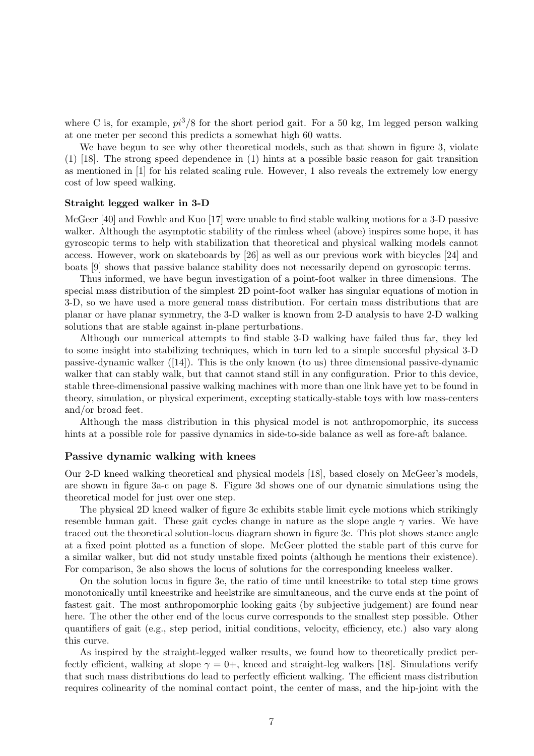where C is, for example,  $pi^3/8$  for the short period gait. For a 50 kg, 1m legged person walking at one meter per second this predicts a somewhat high 60 watts.

We have begun to see why other theoretical models, such as that shown in figure 3, violate (1) [18]. The strong speed dependence in (1) hints at a possible basic reason for gait transition as mentioned in [1] for his related scaling rule. However, 1 also reveals the extremely low energy cost of low speed walking.

#### **Straight legged walker in 3-D**

McGeer [40] and Fowble and Kuo [17] were unable to find stable walking motions for a 3-D passive walker. Although the asymptotic stability of the rimless wheel (above) inspires some hope, it has gyroscopic terms to help with stabilization that theoretical and physical walking models cannot access. However, work on skateboards by [26] as well as our previous work with bicycles [24] and boats [9] shows that passive balance stability does not necessarily depend on gyroscopic terms.

Thus informed, we have begun investigation of a point-foot walker in three dimensions. The special mass distribution of the simplest 2D point-foot walker has singular equations of motion in 3-D, so we have used a more general mass distribution. For certain mass distributions that are planar or have planar symmetry, the 3-D walker is known from 2-D analysis to have 2-D walking solutions that are stable against in-plane perturbations.

Although our numerical attempts to find stable 3-D walking have failed thus far, they led to some insight into stabilizing techniques, which in turn led to a simple succesful physical 3-D passive-dynamic walker ([14]). This is the only known (to us) three dimensional passive-dynamic walker that can stably walk, but that cannot stand still in any configuration. Prior to this device, stable three-dimensional passive walking machines with more than one link have yet to be found in theory, simulation, or physical experiment, excepting statically-stable toys with low mass-centers and/or broad feet.

Although the mass distribution in this physical model is not anthropomorphic, its success hints at a possible role for passive dynamics in side-to-side balance as well as fore-aft balance.

#### **Passive dynamic walking with knees**

Our 2-D kneed walking theoretical and physical models [18], based closely on McGeer's models, are shown in figure 3a-c on page 8. Figure 3d shows one of our dynamic simulations using the theoretical model for just over one step.

The physical 2D kneed walker of figure 3c exhibits stable limit cycle motions which strikingly resemble human gait. These gait cycles change in nature as the slope angle  $\gamma$  varies. We have traced out the theoretical solution-locus diagram shown in figure 3e. This plot shows stance angle at a fixed point plotted as a function of slope. McGeer plotted the stable part of this curve for a similar walker, but did not study unstable fixed points (although he mentions their existence). For comparison, 3e also shows the locus of solutions for the corresponding kneeless walker.

On the solution locus in figure 3e, the ratio of time until kneestrike to total step time grows monotonically until kneestrike and heelstrike are simultaneous, and the curve ends at the point of fastest gait. The most anthropomorphic looking gaits (by subjective judgement) are found near here. The other the other end of the locus curve corresponds to the smallest step possible. Other quantifiers of gait (e.g., step period, initial conditions, velocity, efficiency, etc.) also vary along this curve.

As inspired by the straight-legged walker results, we found how to theoretically predict perfectly efficient, walking at slope  $\gamma = 0+$ , kneed and straight-leg walkers [18]. Simulations verify that such mass distributions do lead to perfectly efficient walking. The efficient mass distribution requires colinearity of the nominal contact point, the center of mass, and the hip-joint with the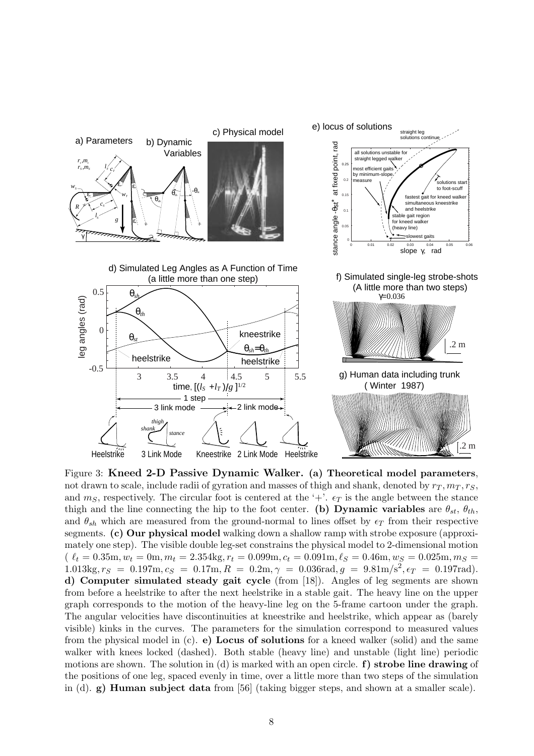

Figure 3: **Kneed 2-D Passive Dynamic Walker. (a) Theoretical model parameters**, not drawn to scale, include radii of gyration and masses of thigh and shank, denoted by  $r_T, m_T, r_S$ , and  $m<sub>S</sub>$ , respectively. The circular foot is centered at the '+'.  $\epsilon_T$  is the angle between the stance thigh and the line connecting the hip to the foot center. **(b) Dynamic variables** are  $\theta_{st}$ ,  $\theta_{th}$ , and  $\theta_{sh}$  which are measured from the ground-normal to lines offset by  $\epsilon_T$  from their respective segments. **(c) Our physical model** walking down a shallow ramp with strobe exposure (approximately one step). The visible double leg-set constrains the physical model to 2-dimensional motion  $\ell_t = 0.35$ m,  $w_t = 0$ m,  $m_t = 2.354$ kg,  $r_t = 0.099$ m,  $c_t = 0.091$ m,  $\ell_s = 0.46$ m,  $w_s = 0.025$ m,  $m_s =$  $1.013\text{kg}, r_s = 0.197\text{m}, c_s = 0.17\text{m}, R = 0.2\text{m}, \gamma = 0.036\text{rad}, g = 9.81\text{m/s}^2, \epsilon_T = 0.197\text{rad}.$ **d) Computer simulated steady gait cycle** (from [18]). Angles of leg segments are shown from before a heelstrike to after the next heelstrike in a stable gait. The heavy line on the upper graph corresponds to the motion of the heavy-line leg on the 5-frame cartoon under the graph. The angular velocities have discontinuities at kneestrike and heelstrike, which appear as (barely visible) kinks in the curves. The parameters for the simulation correspond to measured values from the physical model in (c). **e) Locus of solutions** for a kneed walker (solid) and the same walker with knees locked (dashed). Both stable (heavy line) and unstable (light line) periodic motions are shown. The solution in (d) is marked with an open circle. **f) strobe line drawing** of the positions of one leg, spaced evenly in time, over a little more than two steps of the simulation in (d). **g) Human subject data** from [56] (taking bigger steps, and shown at a smaller scale).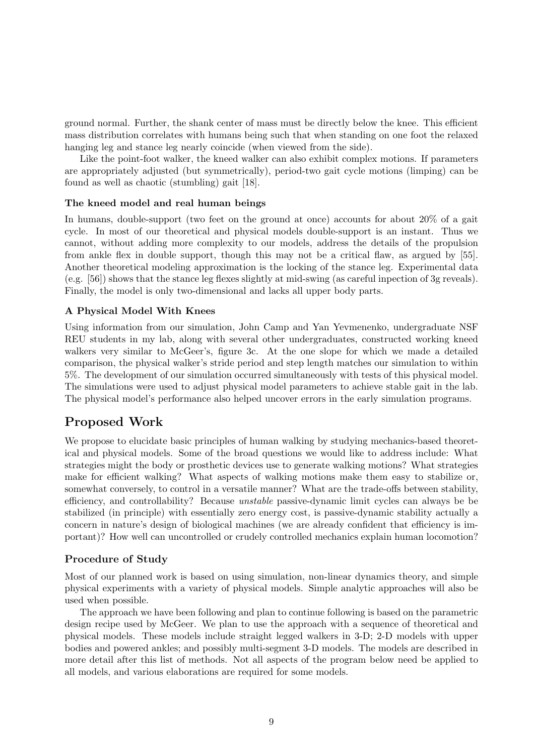ground normal. Further, the shank center of mass must be directly below the knee. This efficient mass distribution correlates with humans being such that when standing on one foot the relaxed hanging leg and stance leg nearly coincide (when viewed from the side).

Like the point-foot walker, the kneed walker can also exhibit complex motions. If parameters are appropriately adjusted (but symmetrically), period-two gait cycle motions (limping) can be found as well as chaotic (stumbling) gait [18].

## **The kneed model and real human beings**

In humans, double-support (two feet on the ground at once) accounts for about 20% of a gait cycle. In most of our theoretical and physical models double-support is an instant. Thus we cannot, without adding more complexity to our models, address the details of the propulsion from ankle flex in double support, though this may not be a critical flaw, as argued by [55]. Another theoretical modeling approximation is the locking of the stance leg. Experimental data (e.g. [56]) shows that the stance leg flexes slightly at mid-swing (as careful inpection of 3g reveals). Finally, the model is only two-dimensional and lacks all upper body parts.

### **A Physical Model With Knees**

Using information from our simulation, John Camp and Yan Yevmenenko, undergraduate NSF REU students in my lab, along with several other undergraduates, constructed working kneed walkers very similar to McGeer's, figure 3c. At the one slope for which we made a detailed comparison, the physical walker's stride period and step length matches our simulation to within 5%. The development of our simulation occurred simultaneously with tests of this physical model. The simulations were used to adjust physical model parameters to achieve stable gait in the lab. The physical model's performance also helped uncover errors in the early simulation programs.

# **Proposed Work**

We propose to elucidate basic principles of human walking by studying mechanics-based theoretical and physical models. Some of the broad questions we would like to address include: What strategies might the body or prosthetic devices use to generate walking motions? What strategies make for efficient walking? What aspects of walking motions make them easy to stabilize or, somewhat conversely, to control in a versatile manner? What are the trade-offs between stability, efficiency, and controllability? Because unstable passive-dynamic limit cycles can always be be stabilized (in principle) with essentially zero energy cost, is passive-dynamic stability actually a concern in nature's design of biological machines (we are already confident that efficiency is important)? How well can uncontrolled or crudely controlled mechanics explain human locomotion?

## **Procedure of Study**

Most of our planned work is based on using simulation, non-linear dynamics theory, and simple physical experiments with a variety of physical models. Simple analytic approaches will also be used when possible.

The approach we have been following and plan to continue following is based on the parametric design recipe used by McGeer. We plan to use the approach with a sequence of theoretical and physical models. These models include straight legged walkers in 3-D; 2-D models with upper bodies and powered ankles; and possibly multi-segment 3-D models. The models are described in more detail after this list of methods. Not all aspects of the program below need be applied to all models, and various elaborations are required for some models.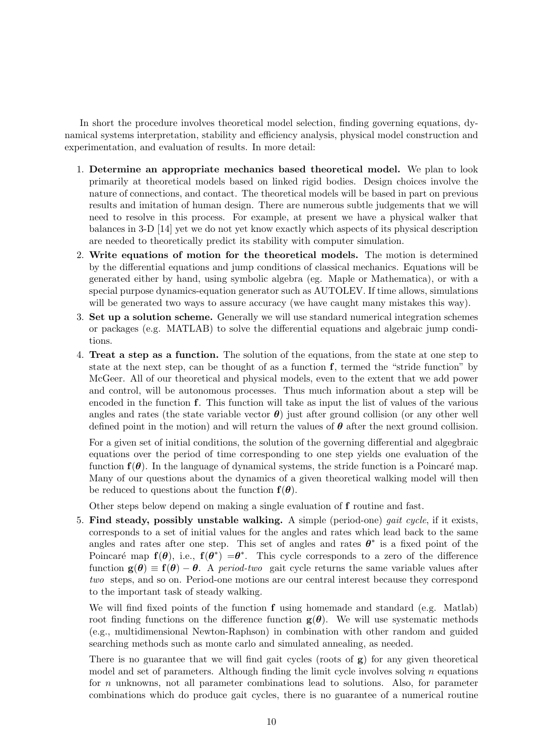In short the procedure involves theoretical model selection, finding governing equations, dynamical systems interpretation, stability and efficiency analysis, physical model construction and experimentation, and evaluation of results. In more detail:

- 1. **Determine an appropriate mechanics based theoretical model.** We plan to look primarily at theoretical models based on linked rigid bodies. Design choices involve the nature of connections, and contact. The theoretical models will be based in part on previous results and imitation of human design. There are numerous subtle judgements that we will need to resolve in this process. For example, at present we have a physical walker that balances in 3-D [14] yet we do not yet know exactly which aspects of its physical description are needed to theoretically predict its stability with computer simulation.
- 2. **Write equations of motion for the theoretical models.** The motion is determined by the differential equations and jump conditions of classical mechanics. Equations will be generated either by hand, using symbolic algebra (eg. Maple or Mathematica), or with a special purpose dynamics-equation generator such as AUTOLEV. If time allows, simulations will be generated two ways to assure accuracy (we have caught many mistakes this way).
- 3. **Set up a solution scheme.** Generally we will use standard numerical integration schemes or packages (e.g. MATLAB) to solve the differential equations and algebraic jump conditions.
- 4. **Treat a step as a function.** The solution of the equations, from the state at one step to state at the next step, can be thought of as a function **f**, termed the "stride function" by McGeer. All of our theoretical and physical models, even to the extent that we add power and control, will be autonomous processes. Thus much information about a step will be encoded in the function **f**. This function will take as input the list of values of the various angles and rates (the state variable vector  $\theta$ ) just after ground collision (or any other well defined point in the motion) and will return the values of  $\theta$  after the next ground collision.

For a given set of initial conditions, the solution of the governing differential and algegbraic equations over the period of time corresponding to one step yields one evaluation of the function  $f(\theta)$ . In the language of dynamical systems, the stride function is a Poincaré map. Many of our questions about the dynamics of a given theoretical walking model will then be reduced to questions about the function  $f(\theta)$ .

Other steps below depend on making a single evaluation of **f** routine and fast.

5. **Find steady, possibly unstable walking.** A simple (period-one) gait cycle, if it exists, corresponds to a set of initial values for the angles and rates which lead back to the same angles and rates after one step. This set of angles and rates  $\theta^*$  is a fixed point of the Poincaré map  $f(\theta)$ , i.e.,  $f(\theta^*) = \theta^*$ . This cycle corresponds to a zero of the difference function  $g(\theta) \equiv f(\theta) - \theta$ . A period-two gait cycle returns the same variable values after two steps, and so on. Period-one motions are our central interest because they correspond to the important task of steady walking.

We will find fixed points of the function **f** using homemade and standard (e.g. Matlab) root finding functions on the difference function  $g(\theta)$ . We will use systematic methods (e.g., multidimensional Newton-Raphson) in combination with other random and guided searching methods such as monte carlo and simulated annealing, as needed.

There is no guarantee that we will find gait cycles (roots of **g**) for any given theoretical model and set of parameters. Although finding the limit cycle involves solving *n* equations for *n* unknowns, not all parameter combinations lead to solutions. Also, for parameter combinations which do produce gait cycles, there is no guarantee of a numerical routine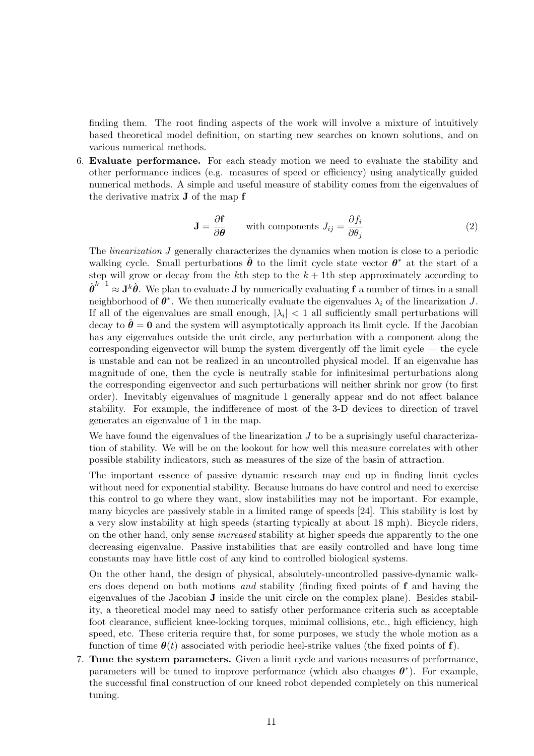finding them. The root finding aspects of the work will involve a mixture of intuitively based theoretical model definition, on starting new searches on known solutions, and on various numerical methods.

6. **Evaluate performance.** For each steady motion we need to evaluate the stability and other performance indices (e.g. measures of speed or efficiency) using analytically guided numerical methods. A simple and useful measure of stability comes from the eigenvalues of the derivative matrix **J** of the map **f**

$$
\mathbf{J} = \frac{\partial \mathbf{f}}{\partial \theta} \qquad \text{with components } J_{ij} = \frac{\partial f_i}{\partial \theta_j} \tag{2}
$$

The linearization *J* generally characterizes the dynamics when motion is close to a periodic walking cycle. Small perturbations  $\hat{\theta}$  to the limit cycle state vector  $\theta^*$  at the start of a step will grow or decay from the  $k$ <sup>th</sup> step to the  $k + 1$ <sup>th</sup> step approximately according to  $\hat{\boldsymbol{\theta}}^{k+1} \approx \mathbf{J}^k \hat{\boldsymbol{\theta}}$ . We plan to evaluate **J** by numerically evaluating **f** a number of times in a small neighborhood of  $\theta^*$ . We then numerically evaluate the eigenvalues  $\lambda_i$  of the linearization *J*. If all of the eigenvalues are small enough,  $|\lambda_i| < 1$  all sufficiently small perturbations will decay to  $\hat{\theta} = 0$  and the system will asymptotically approach its limit cycle. If the Jacobian has any eigenvalues outside the unit circle, any perturbation with a component along the corresponding eigenvector will bump the system divergently off the limit cycle — the cycle is unstable and can not be realized in an uncontrolled physical model. If an eigenvalue has magnitude of one, then the cycle is neutrally stable for infinitesimal perturbations along the corresponding eigenvector and such perturbations will neither shrink nor grow (to first order). Inevitably eigenvalues of magnitude 1 generally appear and do not affect balance stability. For example, the indifference of most of the 3-D devices to direction of travel generates an eigenvalue of 1 in the map.

We have found the eigenvalues of the linearization *J* to be a suprisingly useful characterization of stability. We will be on the lookout for how well this measure correlates with other possible stability indicators, such as measures of the size of the basin of attraction.

The important essence of passive dynamic research may end up in finding limit cycles without need for exponential stability. Because humans do have control and need to exercise this control to go where they want, slow instabilities may not be important. For example, many bicycles are passively stable in a limited range of speeds [24]. This stability is lost by a very slow instability at high speeds (starting typically at about 18 mph). Bicycle riders, on the other hand, only sense increased stability at higher speeds due apparently to the one decreasing eigenvalue. Passive instabilities that are easily controlled and have long time constants may have little cost of any kind to controlled biological systems.

On the other hand, the design of physical, absolutely-uncontrolled passive-dynamic walkers does depend on both motions and stability (finding fixed points of **f** and having the eigenvalues of the Jacobian **J** inside the unit circle on the complex plane). Besides stability, a theoretical model may need to satisfy other performance criteria such as acceptable foot clearance, sufficient knee-locking torques, minimal collisions, etc., high efficiency, high speed, etc. These criteria require that, for some purposes, we study the whole motion as a function of time  $\theta(t)$  associated with periodic heel-strike values (the fixed points of **f**).

7. **Tune the system parameters.** Given a limit cycle and various measures of performance, parameters will be tuned to improve performance (which also changes  $\theta^*$ ). For example, the successful final construction of our kneed robot depended completely on this numerical tuning.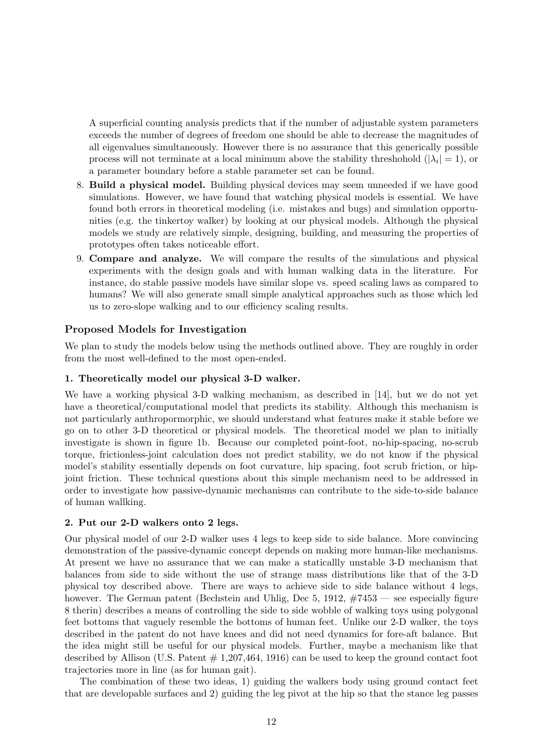A superficial counting analysis predicts that if the number of adjustable system parameters exceeds the number of degrees of freedom one should be able to decrease the magnitudes of all eigenvalues simultaneously. However there is no assurance that this generically possible process will not terminate at a local minimum above the stability threshohold  $(|\lambda_i| = 1)$ , or a parameter boundary before a stable parameter set can be found.

- 8. **Build a physical model.** Building physical devices may seem unneeded if we have good simulations. However, we have found that watching physical models is essential. We have found both errors in theoretical modeling (i.e. mistakes and bugs) and simulation opportunities (e.g. the tinkertoy walker) by looking at our physical models. Although the physical models we study are relatively simple, designing, building, and measuring the properties of prototypes often takes noticeable effort.
- 9. **Compare and analyze.** We will compare the results of the simulations and physical experiments with the design goals and with human walking data in the literature. For instance, do stable passive models have similar slope vs. speed scaling laws as compared to humans? We will also generate small simple analytical approaches such as those which led us to zero-slope walking and to our efficiency scaling results.

## **Proposed Models for Investigation**

We plan to study the models below using the methods outlined above. They are roughly in order from the most well-defined to the most open-ended.

#### **1. Theoretically model our physical 3-D walker.**

We have a working physical 3-D walking mechanism, as described in [14], but we do not yet have a theoretical/computational model that predicts its stability. Although this mechanism is not particularly anthropormorphic, we should understand what features make it stable before we go on to other 3-D theoretical or physical models. The theoretical model we plan to initially investigate is shown in figure 1b. Because our completed point-foot, no-hip-spacing, no-scrub torque, frictionless-joint calculation does not predict stability, we do not know if the physical model's stability essentially depends on foot curvature, hip spacing, foot scrub friction, or hipjoint friction. These technical questions about this simple mechanism need to be addressed in order to investigate how passive-dynamic mechanisms can contribute to the side-to-side balance of human wallking.

#### **2. Put our 2-D walkers onto 2 legs.**

Our physical model of our 2-D walker uses 4 legs to keep side to side balance. More convincing demonstration of the passive-dynamic concept depends on making more human-like mechanisms. At present we have no assurance that we can make a staticallly unstable 3-D mechanism that balances from side to side without the use of strange mass distributions like that of the 3-D physical toy described above. There are ways to achieve side to side balance without 4 legs, however. The German patent (Bechstein and Uhlig, Dec 5, 1912,  $\#7453$  — see especially figure 8 therin) describes a means of controlling the side to side wobble of walking toys using polygonal feet bottoms that vaguely resemble the bottoms of human feet. Unlike our 2-D walker, the toys described in the patent do not have knees and did not need dynamics for fore-aft balance. But the idea might still be useful for our physical models. Further, maybe a mechanism like that described by Allison (U.S. Patent  $\#$  1,207,464, 1916) can be used to keep the ground contact foot trajectories more in line (as for human gait).

The combination of these two ideas, 1) guiding the walkers body using ground contact feet that are developable surfaces and 2) guiding the leg pivot at the hip so that the stance leg passes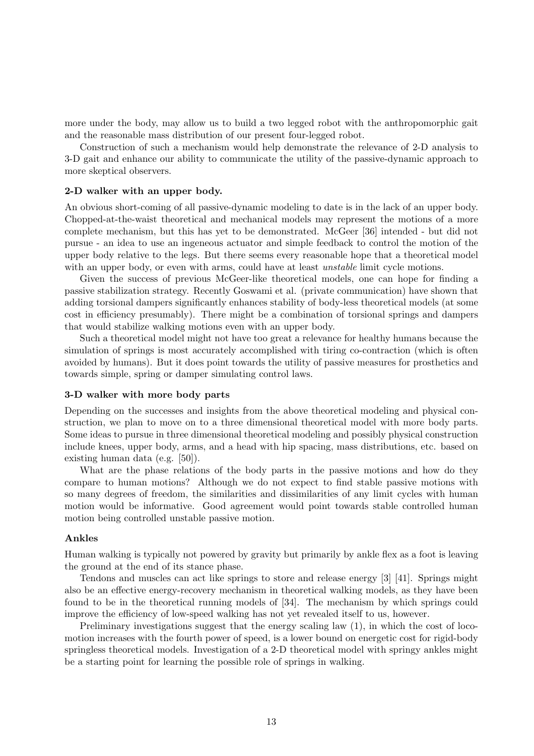more under the body, may allow us to build a two legged robot with the anthropomorphic gait and the reasonable mass distribution of our present four-legged robot.

Construction of such a mechanism would help demonstrate the relevance of 2-D analysis to 3-D gait and enhance our ability to communicate the utility of the passive-dynamic approach to more skeptical observers.

#### **2-D walker with an upper body.**

An obvious short-coming of all passive-dynamic modeling to date is in the lack of an upper body. Chopped-at-the-waist theoretical and mechanical models may represent the motions of a more complete mechanism, but this has yet to be demonstrated. McGeer [36] intended - but did not pursue - an idea to use an ingeneous actuator and simple feedback to control the motion of the upper body relative to the legs. But there seems every reasonable hope that a theoretical model with an upper body, or even with arms, could have at least *unstable* limit cycle motions.

Given the success of previous McGeer-like theoretical models, one can hope for finding a passive stabilization strategy. Recently Goswami et al. (private communication) have shown that adding torsional dampers significantly enhances stability of body-less theoretical models (at some cost in efficiency presumably). There might be a combination of torsional springs and dampers that would stabilize walking motions even with an upper body.

Such a theoretical model might not have too great a relevance for healthy humans because the simulation of springs is most accurately accomplished with tiring co-contraction (which is often avoided by humans). But it does point towards the utility of passive measures for prosthetics and towards simple, spring or damper simulating control laws.

#### **3-D walker with more body parts**

Depending on the successes and insights from the above theoretical modeling and physical construction, we plan to move on to a three dimensional theoretical model with more body parts. Some ideas to pursue in three dimensional theoretical modeling and possibly physical construction include knees, upper body, arms, and a head with hip spacing, mass distributions, etc. based on existing human data (e.g. [50]).

What are the phase relations of the body parts in the passive motions and how do they compare to human motions? Although we do not expect to find stable passive motions with so many degrees of freedom, the similarities and dissimilarities of any limit cycles with human motion would be informative. Good agreement would point towards stable controlled human motion being controlled unstable passive motion.

#### **Ankles**

Human walking is typically not powered by gravity but primarily by ankle flex as a foot is leaving the ground at the end of its stance phase.

Tendons and muscles can act like springs to store and release energy [3] [41]. Springs might also be an effective energy-recovery mechanism in theoretical walking models, as they have been found to be in the theoretical running models of [34]. The mechanism by which springs could improve the efficiency of low-speed walking has not yet revealed itself to us, however.

Preliminary investigations suggest that the energy scaling law  $(1)$ , in which the cost of locomotion increases with the fourth power of speed, is a lower bound on energetic cost for rigid-body springless theoretical models. Investigation of a 2-D theoretical model with springy ankles might be a starting point for learning the possible role of springs in walking.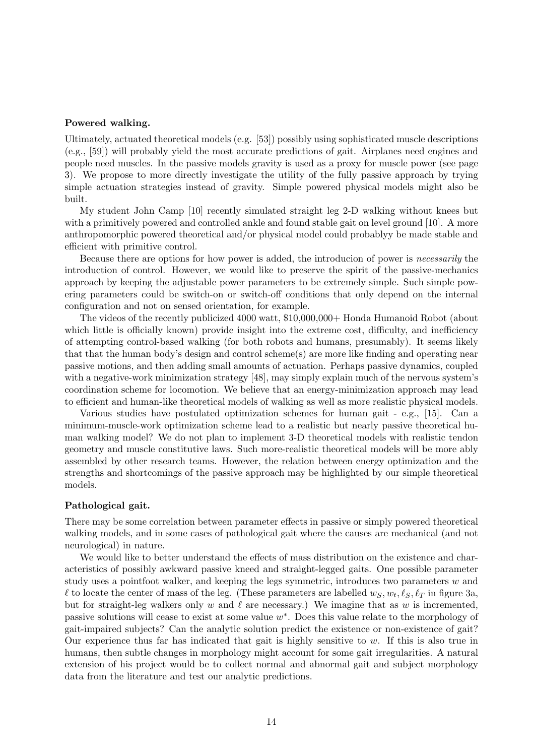#### **Powered walking.**

Ultimately, actuated theoretical models (e.g. [53]) possibly using sophisticated muscle descriptions (e.g., [59]) will probably yield the most accurate predictions of gait. Airplanes need engines and people need muscles. In the passive models gravity is used as a proxy for muscle power (see page 3). We propose to more directly investigate the utility of the fully passive approach by trying simple actuation strategies instead of gravity. Simple powered physical models might also be built.

My student John Camp [10] recently simulated straight leg 2-D walking without knees but with a primitively powered and controlled ankle and found stable gait on level ground [10]. A more anthropomorphic powered theoretical and/or physical model could probablyy be made stable and efficient with primitive control.

Because there are options for how power is added, the introducion of power is necessarily the introduction of control. However, we would like to preserve the spirit of the passive-mechanics approach by keeping the adjustable power parameters to be extremely simple. Such simple powering parameters could be switch-on or switch-off conditions that only depend on the internal configuration and not on sensed orientation, for example.

The videos of the recently publicized 4000 watt, \$10,000,000+ Honda Humanoid Robot (about which little is officially known) provide insight into the extreme cost, difficulty, and inefficiency of attempting control-based walking (for both robots and humans, presumably). It seems likely that that the human body's design and control scheme(s) are more like finding and operating near passive motions, and then adding small amounts of actuation. Perhaps passive dynamics, coupled with a negative-work minimization strategy [48], may simply explain much of the nervous system's coordination scheme for locomotion. We believe that an energy-minimization approach may lead to efficient and human-like theoretical models of walking as well as more realistic physical models.

Various studies have postulated optimization schemes for human gait - e.g., [15]. Can a minimum-muscle-work optimization scheme lead to a realistic but nearly passive theoretical human walking model? We do not plan to implement 3-D theoretical models with realistic tendon geometry and muscle constitutive laws. Such more-realistic theoretical models will be more ably assembled by other research teams. However, the relation between energy optimization and the strengths and shortcomings of the passive approach may be highlighted by our simple theoretical models.

#### **Pathological gait.**

There may be some correlation between parameter effects in passive or simply powered theoretical walking models, and in some cases of pathological gait where the causes are mechanical (and not neurological) in nature.

We would like to better understand the effects of mass distribution on the existence and characteristics of possibly awkward passive kneed and straight-legged gaits. One possible parameter study uses a pointfoot walker, and keeping the legs symmetric, introduces two parameters *w* and  $\ell$  to locate the center of mass of the leg. (These parameters are labelled  $w_S, w_t, \ell_S, \ell_T$  in figure 3a, but for straight-leg walkers only  $w$  and  $\ell$  are necessary.) We imagine that as  $w$  is incremented, passive solutions will cease to exist at some value *w*∗. Does this value relate to the morphology of gait-impaired subjects? Can the analytic solution predict the existence or non-existence of gait? Our experience thus far has indicated that gait is highly sensitive to *w*. If this is also true in humans, then subtle changes in morphology might account for some gait irregularities. A natural extension of his project would be to collect normal and abnormal gait and subject morphology data from the literature and test our analytic predictions.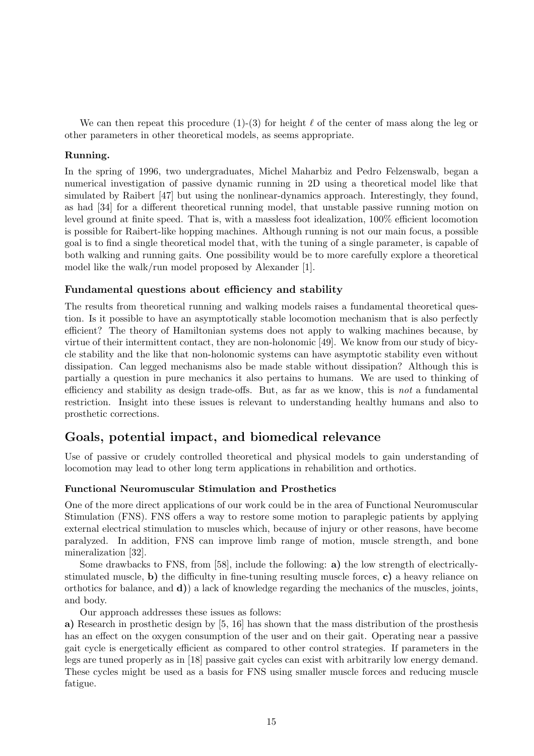We can then repeat this procedure  $(1)$ - $(3)$  for height  $\ell$  of the center of mass along the leg or other parameters in other theoretical models, as seems appropriate.

#### **Running.**

In the spring of 1996, two undergraduates, Michel Maharbiz and Pedro Felzenswalb, began a numerical investigation of passive dynamic running in 2D using a theoretical model like that simulated by Raibert [47] but using the nonlinear-dynamics approach. Interestingly, they found, as had [34] for a different theoretical running model, that unstable passive running motion on level ground at finite speed. That is, with a massless foot idealization, 100% efficient locomotion is possible for Raibert-like hopping machines. Although running is not our main focus, a possible goal is to find a single theoretical model that, with the tuning of a single parameter, is capable of both walking and running gaits. One possibility would be to more carefully explore a theoretical model like the walk/run model proposed by Alexander [1].

### **Fundamental questions about efficiency and stability**

The results from theoretical running and walking models raises a fundamental theoretical question. Is it possible to have an asymptotically stable locomotion mechanism that is also perfectly efficient? The theory of Hamiltonian systems does not apply to walking machines because, by virtue of their intermittent contact, they are non-holonomic [49]. We know from our study of bicycle stability and the like that non-holonomic systems can have asymptotic stability even without dissipation. Can legged mechanisms also be made stable without dissipation? Although this is partially a question in pure mechanics it also pertains to humans. We are used to thinking of efficiency and stability as design trade-offs. But, as far as we know, this is not a fundamental restriction. Insight into these issues is relevant to understanding healthy humans and also to prosthetic corrections.

# **Goals, potential impact, and biomedical relevance**

Use of passive or crudely controlled theoretical and physical models to gain understanding of locomotion may lead to other long term applications in rehabilition and orthotics.

#### **Functional Neuromuscular Stimulation and Prosthetics**

One of the more direct applications of our work could be in the area of Functional Neuromuscular Stimulation (FNS). FNS offers a way to restore some motion to paraplegic patients by applying external electrical stimulation to muscles which, because of injury or other reasons, have become paralyzed. In addition, FNS can improve limb range of motion, muscle strength, and bone mineralization [32].

Some drawbacks to FNS, from [58], include the following: **a)** the low strength of electricallystimulated muscle, **b)** the difficulty in fine-tuning resulting muscle forces, **c)** a heavy reliance on orthotics for balance, and **d)**) a lack of knowledge regarding the mechanics of the muscles, joints, and body.

Our approach addresses these issues as follows:

**a)** Research in prosthetic design by [5, 16] has shown that the mass distribution of the prosthesis has an effect on the oxygen consumption of the user and on their gait. Operating near a passive gait cycle is energetically efficient as compared to other control strategies. If parameters in the legs are tuned properly as in [18] passive gait cycles can exist with arbitrarily low energy demand. These cycles might be used as a basis for FNS using smaller muscle forces and reducing muscle fatigue.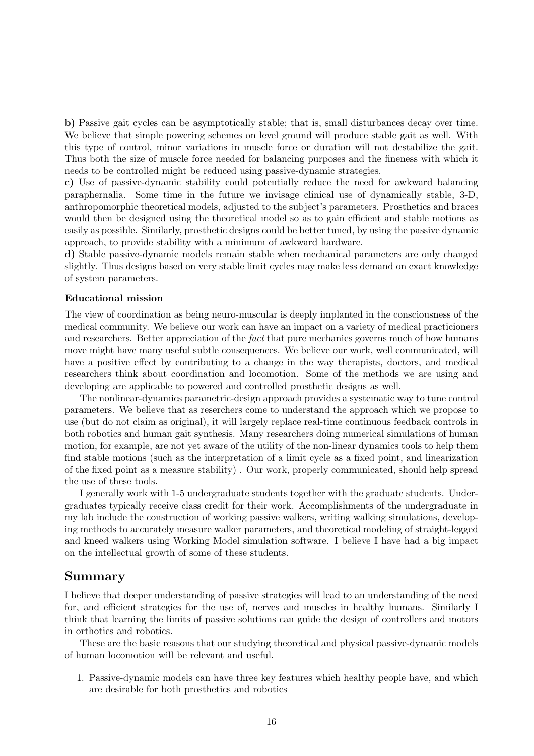**b)** Passive gait cycles can be asymptotically stable; that is, small disturbances decay over time. We believe that simple powering schemes on level ground will produce stable gait as well. With this type of control, minor variations in muscle force or duration will not destabilize the gait. Thus both the size of muscle force needed for balancing purposes and the fineness with which it needs to be controlled might be reduced using passive-dynamic strategies.

**c)** Use of passive-dynamic stability could potentially reduce the need for awkward balancing paraphernalia. Some time in the future we invisage clinical use of dynamically stable, 3-D, anthropomorphic theoretical models, adjusted to the subject's parameters. Prosthetics and braces would then be designed using the theoretical model so as to gain efficient and stable motions as easily as possible. Similarly, prosthetic designs could be better tuned, by using the passive dynamic approach, to provide stability with a minimum of awkward hardware.

**d)** Stable passive-dynamic models remain stable when mechanical parameters are only changed slightly. Thus designs based on very stable limit cycles may make less demand on exact knowledge of system parameters.

#### **Educational mission**

The view of coordination as being neuro-muscular is deeply implanted in the consciousness of the medical community. We believe our work can have an impact on a variety of medical practicioners and researchers. Better appreciation of the *fact* that pure mechanics governs much of how humans move might have many useful subtle consequences. We believe our work, well communicated, will have a positive effect by contributing to a change in the way therapists, doctors, and medical researchers think about coordination and locomotion. Some of the methods we are using and developing are applicable to powered and controlled prosthetic designs as well.

The nonlinear-dynamics parametric-design approach provides a systematic way to tune control parameters. We believe that as reserchers come to understand the approach which we propose to use (but do not claim as original), it will largely replace real-time continuous feedback controls in both robotics and human gait synthesis. Many researchers doing numerical simulations of human motion, for example, are not yet aware of the utility of the non-linear dynamics tools to help them find stable motions (such as the interpretation of a limit cycle as a fixed point, and linearization of the fixed point as a measure stability) . Our work, properly communicated, should help spread the use of these tools.

I generally work with 1-5 undergraduate students together with the graduate students. Undergraduates typically receive class credit for their work. Accomplishments of the undergraduate in my lab include the construction of working passive walkers, writing walking simulations, developing methods to accurately measure walker parameters, and theoretical modeling of straight-legged and kneed walkers using Working Model simulation software. I believe I have had a big impact on the intellectual growth of some of these students.

## **Summary**

I believe that deeper understanding of passive strategies will lead to an understanding of the need for, and efficient strategies for the use of, nerves and muscles in healthy humans. Similarly I think that learning the limits of passive solutions can guide the design of controllers and motors in orthotics and robotics.

These are the basic reasons that our studying theoretical and physical passive-dynamic models of human locomotion will be relevant and useful.

1. Passive-dynamic models can have three key features which healthy people have, and which are desirable for both prosthetics and robotics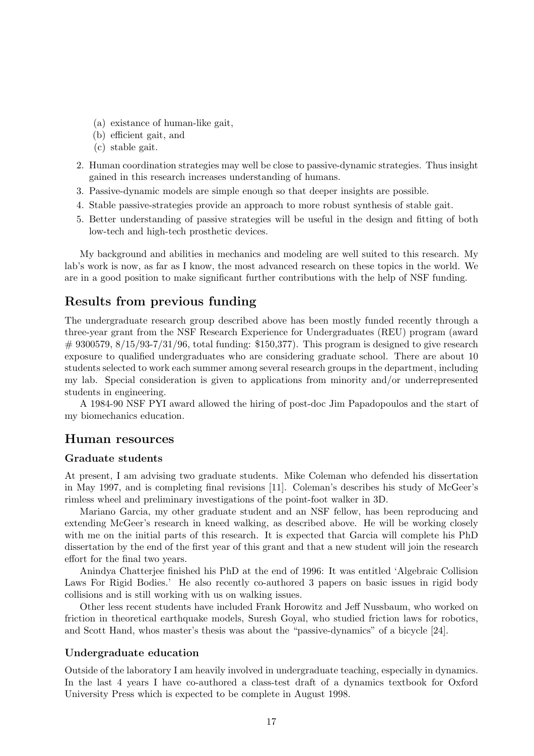- (a) existance of human-like gait,
- (b) efficient gait, and
- (c) stable gait.
- 2. Human coordination strategies may well be close to passive-dynamic strategies. Thus insight gained in this research increases understanding of humans.
- 3. Passive-dynamic models are simple enough so that deeper insights are possible.
- 4. Stable passive-strategies provide an approach to more robust synthesis of stable gait.
- 5. Better understanding of passive strategies will be useful in the design and fitting of both low-tech and high-tech prosthetic devices.

My background and abilities in mechanics and modeling are well suited to this research. My lab's work is now, as far as I know, the most advanced research on these topics in the world. We are in a good position to make significant further contributions with the help of NSF funding.

# **Results from previous funding**

The undergraduate research group described above has been mostly funded recently through a three-year grant from the NSF Research Experience for Undergraduates (REU) program (award  $\#$  9300579, 8/15/93-7/31/96, total funding: \$150,377). This program is designed to give research exposure to qualified undergraduates who are considering graduate school. There are about 10 students selected to work each summer among several research groups in the department, including my lab. Special consideration is given to applications from minority and/or underrepresented students in engineering.

A 1984-90 NSF PYI award allowed the hiring of post-doc Jim Papadopoulos and the start of my biomechanics education.

## **Human resources**

#### **Graduate students**

At present, I am advising two graduate students. Mike Coleman who defended his dissertation in May 1997, and is completing final revisions [11]. Coleman's describes his study of McGeer's rimless wheel and preliminary investigations of the point-foot walker in 3D.

Mariano Garcia, my other graduate student and an NSF fellow, has been reproducing and extending McGeer's research in kneed walking, as described above. He will be working closely with me on the initial parts of this research. It is expected that Garcia will complete his PhD dissertation by the end of the first year of this grant and that a new student will join the research effort for the final two years.

Anindya Chatterjee finished his PhD at the end of 1996: It was entitled 'Algebraic Collision Laws For Rigid Bodies.' He also recently co-authored 3 papers on basic issues in rigid body collisions and is still working with us on walking issues.

Other less recent students have included Frank Horowitz and Jeff Nussbaum, who worked on friction in theoretical earthquake models, Suresh Goyal, who studied friction laws for robotics, and Scott Hand, whos master's thesis was about the "passive-dynamics" of a bicycle [24].

## **Undergraduate education**

Outside of the laboratory I am heavily involved in undergraduate teaching, especially in dynamics. In the last 4 years I have co-authored a class-test draft of a dynamics textbook for Oxford University Press which is expected to be complete in August 1998.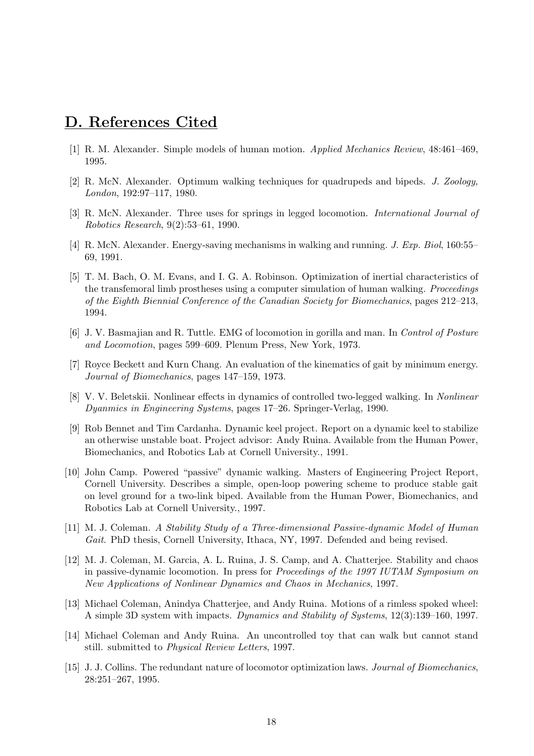# **D. References Cited**

- [1] R. M. Alexander. Simple models of human motion. Applied Mechanics Review, 48:461–469, 1995.
- [2] R. McN. Alexander. Optimum walking techniques for quadrupeds and bipeds. J. Zoology, London, 192:97–117, 1980.
- [3] R. McN. Alexander. Three uses for springs in legged locomotion. International Journal of Robotics Research, 9(2):53–61, 1990.
- [4] R. McN. Alexander. Energy-saving mechanisms in walking and running. J. Exp. Biol, 160:55– 69, 1991.
- [5] T. M. Bach, O. M. Evans, and I. G. A. Robinson. Optimization of inertial characteristics of the transfemoral limb prostheses using a computer simulation of human walking. Proceedings of the Eighth Biennial Conference of the Canadian Society for Biomechanics, pages 212–213, 1994.
- [6] J. V. Basmajian and R. Tuttle. EMG of locomotion in gorilla and man. In Control of Posture and Locomotion, pages 599–609. Plenum Press, New York, 1973.
- [7] Royce Beckett and Kurn Chang. An evaluation of the kinematics of gait by minimum energy. Journal of Biomechanics, pages 147–159, 1973.
- [8] V. V. Beletskii. Nonlinear effects in dynamics of controlled two-legged walking. In Nonlinear Dyanmics in Engineering Systems, pages 17–26. Springer-Verlag, 1990.
- [9] Rob Bennet and Tim Cardanha. Dynamic keel project. Report on a dynamic keel to stabilize an otherwise unstable boat. Project advisor: Andy Ruina. Available from the Human Power, Biomechanics, and Robotics Lab at Cornell University., 1991.
- [10] John Camp. Powered "passive" dynamic walking. Masters of Engineering Project Report, Cornell University. Describes a simple, open-loop powering scheme to produce stable gait on level ground for a two-link biped. Available from the Human Power, Biomechanics, and Robotics Lab at Cornell University., 1997.
- [11] M. J. Coleman. A Stability Study of a Three-dimensional Passive-dynamic Model of Human Gait. PhD thesis, Cornell University, Ithaca, NY, 1997. Defended and being revised.
- [12] M. J. Coleman, M. Garcia, A. L. Ruina, J. S. Camp, and A. Chatterjee. Stability and chaos in passive-dynamic locomotion. In press for Proceedings of the 1997 IUTAM Symposium on New Applications of Nonlinear Dynamics and Chaos in Mechanics, 1997.
- [13] Michael Coleman, Anindya Chatterjee, and Andy Ruina. Motions of a rimless spoked wheel: A simple 3D system with impacts. Dynamics and Stability of Systems, 12(3):139–160, 1997.
- [14] Michael Coleman and Andy Ruina. An uncontrolled toy that can walk but cannot stand still. submitted to Physical Review Letters, 1997.
- [15] J. J. Collins. The redundant nature of locomotor optimization laws. Journal of Biomechanics, 28:251–267, 1995.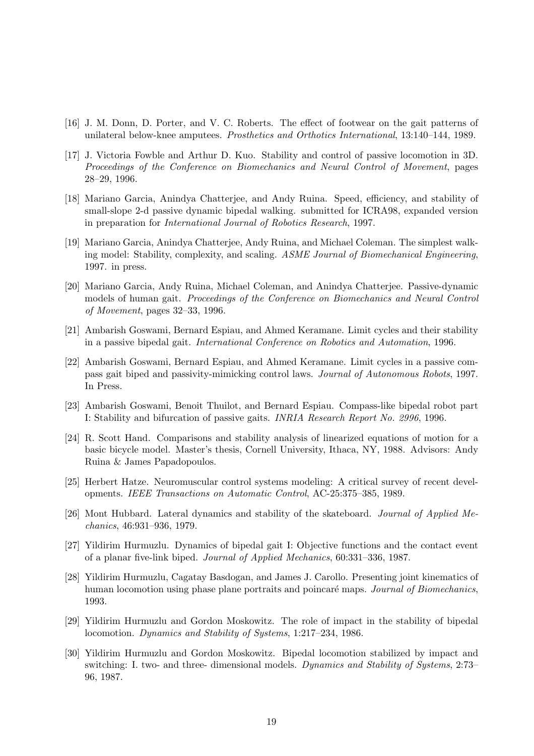- [16] J. M. Donn, D. Porter, and V. C. Roberts. The effect of footwear on the gait patterns of unilateral below-knee amputees. Prosthetics and Orthotics International, 13:140–144, 1989.
- [17] J. Victoria Fowble and Arthur D. Kuo. Stability and control of passive locomotion in 3D. Proceedings of the Conference on Biomechanics and Neural Control of Movement, pages 28–29, 1996.
- [18] Mariano Garcia, Anindya Chatterjee, and Andy Ruina. Speed, efficiency, and stability of small-slope 2-d passive dynamic bipedal walking. submitted for ICRA98, expanded version in preparation for International Journal of Robotics Research, 1997.
- [19] Mariano Garcia, Anindya Chatterjee, Andy Ruina, and Michael Coleman. The simplest walking model: Stability, complexity, and scaling. ASME Journal of Biomechanical Engineering, 1997. in press.
- [20] Mariano Garcia, Andy Ruina, Michael Coleman, and Anindya Chatterjee. Passive-dynamic models of human gait. Proceedings of the Conference on Biomechanics and Neural Control of Movement, pages 32–33, 1996.
- [21] Ambarish Goswami, Bernard Espiau, and Ahmed Keramane. Limit cycles and their stability in a passive bipedal gait. International Conference on Robotics and Automation, 1996.
- [22] Ambarish Goswami, Bernard Espiau, and Ahmed Keramane. Limit cycles in a passive compass gait biped and passivity-mimicking control laws. Journal of Autonomous Robots, 1997. In Press.
- [23] Ambarish Goswami, Benoit Thuilot, and Bernard Espiau. Compass-like bipedal robot part I: Stability and bifurcation of passive gaits. INRIA Research Report No. 2996, 1996.
- [24] R. Scott Hand. Comparisons and stability analysis of linearized equations of motion for a basic bicycle model. Master's thesis, Cornell University, Ithaca, NY, 1988. Advisors: Andy Ruina & James Papadopoulos.
- [25] Herbert Hatze. Neuromuscular control systems modeling: A critical survey of recent developments. IEEE Transactions on Automatic Control, AC-25:375–385, 1989.
- [26] Mont Hubbard. Lateral dynamics and stability of the skateboard. Journal of Applied Mechanics, 46:931–936, 1979.
- [27] Yildirim Hurmuzlu. Dynamics of bipedal gait I: Objective functions and the contact event of a planar five-link biped. Journal of Applied Mechanics, 60:331–336, 1987.
- [28] Yildirim Hurmuzlu, Cagatay Basdogan, and James J. Carollo. Presenting joint kinematics of human locomotion using phase plane portraits and poincaré maps. Journal of Biomechanics, 1993.
- [29] Yildirim Hurmuzlu and Gordon Moskowitz. The role of impact in the stability of bipedal locomotion. Dynamics and Stability of Systems, 1:217–234, 1986.
- [30] Yildirim Hurmuzlu and Gordon Moskowitz. Bipedal locomotion stabilized by impact and switching: I. two- and three- dimensional models. Dynamics and Stability of Systems, 2:73– 96, 1987.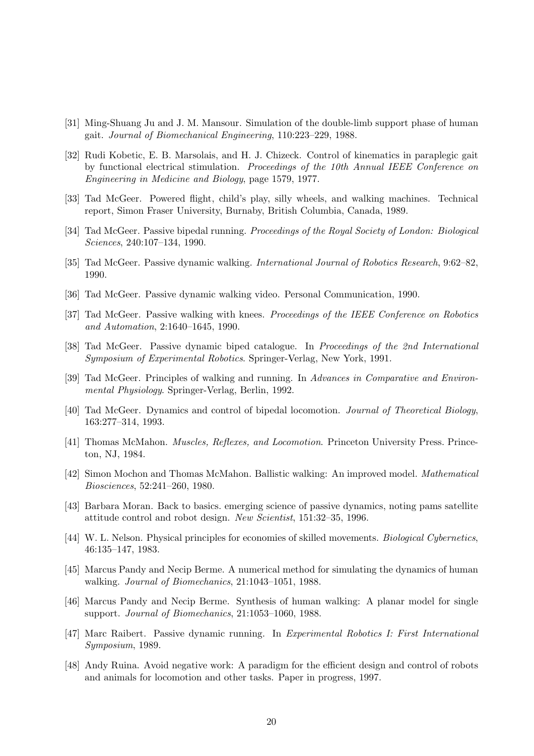- [31] Ming-Shuang Ju and J. M. Mansour. Simulation of the double-limb support phase of human gait. Journal of Biomechanical Engineering, 110:223–229, 1988.
- [32] Rudi Kobetic, E. B. Marsolais, and H. J. Chizeck. Control of kinematics in paraplegic gait by functional electrical stimulation. Proceedings of the 10th Annual IEEE Conference on Engineering in Medicine and Biology, page 1579, 1977.
- [33] Tad McGeer. Powered flight, child's play, silly wheels, and walking machines. Technical report, Simon Fraser University, Burnaby, British Columbia, Canada, 1989.
- [34] Tad McGeer. Passive bipedal running. Proceedings of the Royal Society of London: Biological Sciences, 240:107–134, 1990.
- [35] Tad McGeer. Passive dynamic walking. International Journal of Robotics Research, 9:62-82, 1990.
- [36] Tad McGeer. Passive dynamic walking video. Personal Communication, 1990.
- [37] Tad McGeer. Passive walking with knees. Proceedings of the IEEE Conference on Robotics and Automation, 2:1640–1645, 1990.
- [38] Tad McGeer. Passive dynamic biped catalogue. In Proceedings of the 2nd International Symposium of Experimental Robotics. Springer-Verlag, New York, 1991.
- [39] Tad McGeer. Principles of walking and running. In Advances in Comparative and Environmental Physiology. Springer-Verlag, Berlin, 1992.
- [40] Tad McGeer. Dynamics and control of bipedal locomotion. Journal of Theoretical Biology, 163:277–314, 1993.
- [41] Thomas McMahon. Muscles, Reflexes, and Locomotion. Princeton University Press. Princeton, NJ, 1984.
- [42] Simon Mochon and Thomas McMahon. Ballistic walking: An improved model. Mathematical Biosciences, 52:241–260, 1980.
- [43] Barbara Moran. Back to basics. emerging science of passive dynamics, noting pams satellite attitude control and robot design. New Scientist, 151:32–35, 1996.
- [44] W. L. Nelson. Physical principles for economies of skilled movements. Biological Cybernetics, 46:135–147, 1983.
- [45] Marcus Pandy and Necip Berme. A numerical method for simulating the dynamics of human walking. Journal of Biomechanics, 21:1043–1051, 1988.
- [46] Marcus Pandy and Necip Berme. Synthesis of human walking: A planar model for single support. Journal of Biomechanics, 21:1053–1060, 1988.
- [47] Marc Raibert. Passive dynamic running. In Experimental Robotics I: First International Symposium, 1989.
- [48] Andy Ruina. Avoid negative work: A paradigm for the efficient design and control of robots and animals for locomotion and other tasks. Paper in progress, 1997.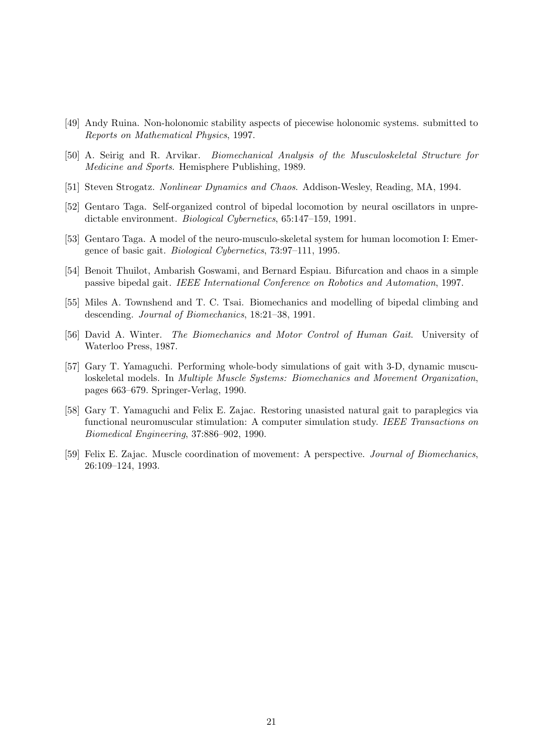- [49] Andy Ruina. Non-holonomic stability aspects of piecewise holonomic systems. submitted to Reports on Mathematical Physics, 1997.
- [50] A. Seirig and R. Arvikar. Biomechanical Analysis of the Musculoskeletal Structure for Medicine and Sports. Hemisphere Publishing, 1989.
- [51] Steven Strogatz. Nonlinear Dynamics and Chaos. Addison-Wesley, Reading, MA, 1994.
- [52] Gentaro Taga. Self-organized control of bipedal locomotion by neural oscillators in unpredictable environment. Biological Cybernetics, 65:147–159, 1991.
- [53] Gentaro Taga. A model of the neuro-musculo-skeletal system for human locomotion I: Emergence of basic gait. Biological Cybernetics, 73:97–111, 1995.
- [54] Benoit Thuilot, Ambarish Goswami, and Bernard Espiau. Bifurcation and chaos in a simple passive bipedal gait. IEEE International Conference on Robotics and Automation, 1997.
- [55] Miles A. Townshend and T. C. Tsai. Biomechanics and modelling of bipedal climbing and descending. Journal of Biomechanics, 18:21–38, 1991.
- [56] David A. Winter. The Biomechanics and Motor Control of Human Gait. University of Waterloo Press, 1987.
- [57] Gary T. Yamaguchi. Performing whole-body simulations of gait with 3-D, dynamic musculoskeletal models. In Multiple Muscle Systems: Biomechanics and Movement Organization, pages 663–679. Springer-Verlag, 1990.
- [58] Gary T. Yamaguchi and Felix E. Zajac. Restoring unasisted natural gait to paraplegics via functional neuromuscular stimulation: A computer simulation study. IEEE Transactions on Biomedical Engineering, 37:886–902, 1990.
- [59] Felix E. Zajac. Muscle coordination of movement: A perspective. Journal of Biomechanics, 26:109–124, 1993.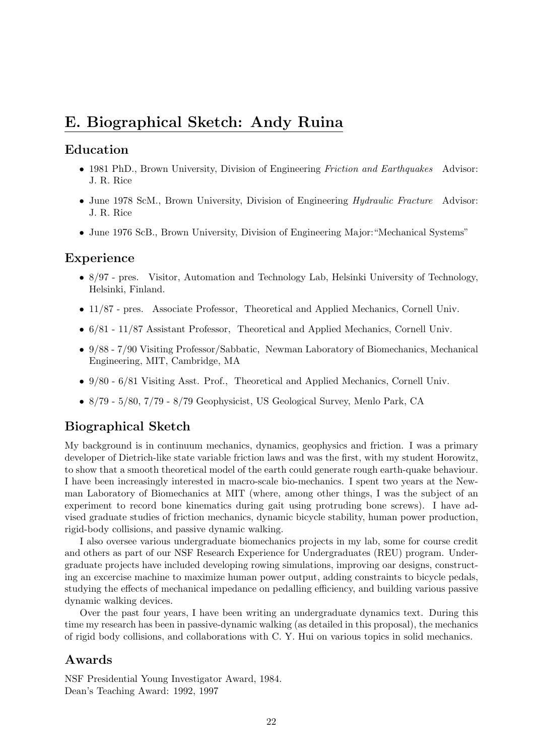# **E. Biographical Sketch: Andy Ruina**

## **Education**

- 1981 PhD., Brown University, Division of Engineering Friction and Earthquakes Advisor: J. R. Rice
- June 1978 ScM., Brown University, Division of Engineering Hydraulic Fracture Advisor: J. R. Rice
- June 1976 ScB., Brown University, Division of Engineering Major: "Mechanical Systems"

## **Experience**

- 8/97 pres. Visitor, Automation and Technology Lab, Helsinki University of Technology, Helsinki, Finland.
- 11/87 pres. Associate Professor, Theoretical and Applied Mechanics, Cornell Univ.
- 6/81 11/87 Assistant Professor, Theoretical and Applied Mechanics, Cornell Univ.
- 9/88 7/90 Visiting Professor/Sabbatic, Newman Laboratory of Biomechanics, Mechanical Engineering, MIT, Cambridge, MA
- 9/80 6/81 Visiting Asst. Prof., Theoretical and Applied Mechanics, Cornell Univ.
- 8/79 5/80, 7/79 8/79 Geophysicist, US Geological Survey, Menlo Park, CA

# **Biographical Sketch**

My background is in continuum mechanics, dynamics, geophysics and friction. I was a primary developer of Dietrich-like state variable friction laws and was the first, with my student Horowitz, to show that a smooth theoretical model of the earth could generate rough earth-quake behaviour. I have been increasingly interested in macro-scale bio-mechanics. I spent two years at the Newman Laboratory of Biomechanics at MIT (where, among other things, I was the subject of an experiment to record bone kinematics during gait using protruding bone screws). I have advised graduate studies of friction mechanics, dynamic bicycle stability, human power production, rigid-body collisions, and passive dynamic walking.

I also oversee various undergraduate biomechanics projects in my lab, some for course credit and others as part of our NSF Research Experience for Undergraduates (REU) program. Undergraduate projects have included developing rowing simulations, improving oar designs, constructing an excercise machine to maximize human power output, adding constraints to bicycle pedals, studying the effects of mechanical impedance on pedalling efficiency, and building various passive dynamic walking devices.

Over the past four years, I have been writing an undergraduate dynamics text. During this time my research has been in passive-dynamic walking (as detailed in this proposal), the mechanics of rigid body collisions, and collaborations with C. Y. Hui on various topics in solid mechanics.

# **Awards**

NSF Presidential Young Investigator Award, 1984. Dean's Teaching Award: 1992, 1997